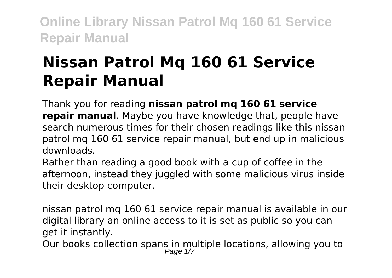# **Nissan Patrol Mq 160 61 Service Repair Manual**

Thank you for reading **nissan patrol mq 160 61 service repair manual**. Maybe you have knowledge that, people have search numerous times for their chosen readings like this nissan patrol mq 160 61 service repair manual, but end up in malicious downloads.

Rather than reading a good book with a cup of coffee in the afternoon, instead they juggled with some malicious virus inside their desktop computer.

nissan patrol mq 160 61 service repair manual is available in our digital library an online access to it is set as public so you can get it instantly.

Our books collection spans in multiple locations, allowing you to<br>Page 1/7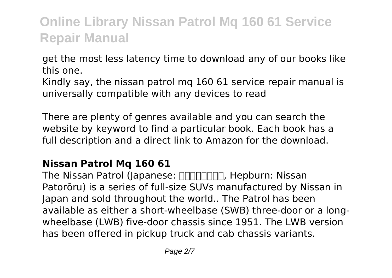get the most less latency time to download any of our books like this one.

Kindly say, the nissan patrol mq 160 61 service repair manual is universally compatible with any devices to read

There are plenty of genres available and you can search the website by keyword to find a particular book. Each book has a full description and a direct link to Amazon for the download.

### **Nissan Patrol Mq 160 61**

The Nissan Patrol (Japanese: FIFITHET, Hepburn: Nissan Patorōru) is a series of full-size SUVs manufactured by Nissan in Japan and sold throughout the world.. The Patrol has been available as either a short-wheelbase (SWB) three-door or a longwheelbase (LWB) five-door chassis since 1951. The LWB version has been offered in pickup truck and cab chassis variants.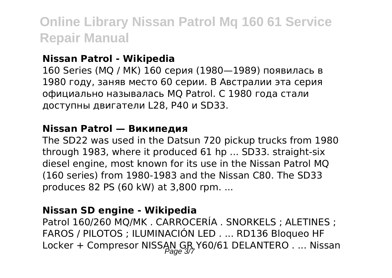#### **Nissan Patrol - Wikipedia**

160 Series (MQ / MK) 160 серия (1980—1989) появилась в 1980 году, заняв место 60 серии. В Австралии эта серия официально называлась MQ Patrol. С 1980 года стали доступны двигатели L28, P40 и SD33.

#### **Nissan Patrol — Википедия**

The SD22 was used in the Datsun 720 pickup trucks from 1980 through 1983, where it produced 61 hp ... SD33. straight-six diesel engine, most known for its use in the Nissan Patrol MQ (160 series) from 1980-1983 and the Nissan C80. The SD33 produces 82 PS (60 kW) at 3,800 rpm. ...

#### **Nissan SD engine - Wikipedia**

Patrol 160/260 MQ/MK . CARROCERÍA . SNORKELS ; ALETINES ; FAROS / PILOTOS ; ILUMINACIÓN LED . ... RD136 Bloqueo HF Locker + Compresor NISSAN GR Y60/61 DELANTERO . ... Nissan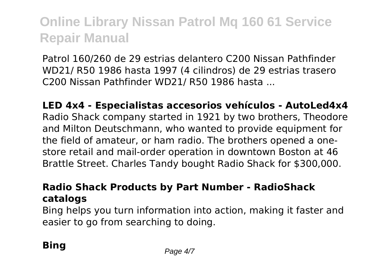Patrol 160/260 de 29 estrias delantero C200 Nissan Pathfinder WD21/ R50 1986 hasta 1997 (4 cilindros) de 29 estrias trasero C200 Nissan Pathfinder WD21/ R50 1986 hasta ...

**LED 4x4 - Especialistas accesorios vehículos - AutoLed4x4** Radio Shack company started in 1921 by two brothers, Theodore and Milton Deutschmann, who wanted to provide equipment for the field of amateur, or ham radio. The brothers opened a onestore retail and mail-order operation in downtown Boston at 46 Brattle Street. Charles Tandy bought Radio Shack for \$300,000.

### **Radio Shack Products by Part Number - RadioShack catalogs**

Bing helps you turn information into action, making it faster and easier to go from searching to doing.

## **Bing** Page 4/7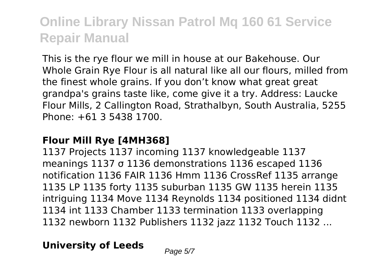This is the rye flour we mill in house at our Bakehouse. Our Whole Grain Rye Flour is all natural like all our flours, milled from the finest whole grains. If you don't know what great great grandpa's grains taste like, come give it a try. Address: Laucke Flour Mills, 2 Callington Road, Strathalbyn, South Australia, 5255 Phone: +61 3 5438 1700.

#### **Flour Mill Rye [4MH368]**

1137 Projects 1137 incoming 1137 knowledgeable 1137 meanings 1137 σ 1136 demonstrations 1136 escaped 1136 notification 1136 FAIR 1136 Hmm 1136 CrossRef 1135 arrange 1135 LP 1135 forty 1135 suburban 1135 GW 1135 herein 1135 intriguing 1134 Move 1134 Reynolds 1134 positioned 1134 didnt 1134 int 1133 Chamber 1133 termination 1133 overlapping 1132 newborn 1132 Publishers 1132 jazz 1132 Touch 1132 ...

### **University of Leeds** Page 5/7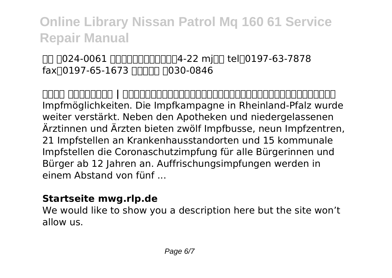### 本社 〒024-0061 岩手県北上市大通り四丁目4-22 mjビル tel:0197-63-7878 fax<sup>10197-65-1673</sup> FINNE FO30-0846

**株式会社 みちのくジャパン | 岩手県北上市に本社を置く、株式会社みちのくジャパンのオフィシャルサイトです。** Impfmöglichkeiten. Die Impfkampagne in Rheinland-Pfalz wurde weiter verstärkt. Neben den Apotheken und niedergelassenen Ärztinnen und Ärzten bieten zwölf Impfbusse, neun Impfzentren, 21 Impfstellen an Krankenhausstandorten und 15 kommunale Impfstellen die Coronaschutzimpfung für alle Bürgerinnen und Bürger ab 12 Jahren an. Auffrischungsimpfungen werden in einem Abstand von fünf ...

#### **Startseite mwg.rlp.de**

We would like to show you a description here but the site won't allow us.